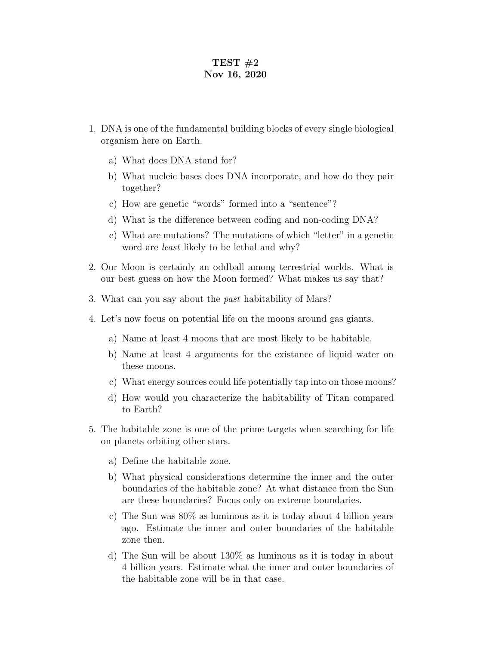## TEST  $#2$ Nov 16, 2020

- 1. DNA is one of the fundamental building blocks of every single biological organism here on Earth.
	- a) What does DNA stand for?
	- b) What nucleic bases does DNA incorporate, and how do they pair together?
	- c) How are genetic "words" formed into a "sentence"?
	- d) What is the difference between coding and non-coding DNA?
	- e) What are mutations? The mutations of which "letter" in a genetic word are *least* likely to be lethal and why?
- 2. Our Moon is certainly an oddball among terrestrial worlds. What is our best guess on how the Moon formed? What makes us say that?
- 3. What can you say about the past habitability of Mars?
- 4. Let's now focus on potential life on the moons around gas giants.
	- a) Name at least 4 moons that are most likely to be habitable.
	- b) Name at least 4 arguments for the existance of liquid water on these moons.
	- c) What energy sources could life potentially tap into on those moons?
	- d) How would you characterize the habitability of Titan compared to Earth?
- 5. The habitable zone is one of the prime targets when searching for life on planets orbiting other stars.
	- a) Define the habitable zone.
	- b) What physical considerations determine the inner and the outer boundaries of the habitable zone? At what distance from the Sun are these boundaries? Focus only on extreme boundaries.
	- c) The Sun was 80% as luminous as it is today about 4 billion years ago. Estimate the inner and outer boundaries of the habitable zone then.
	- d) The Sun will be about 130% as luminous as it is today in about 4 billion years. Estimate what the inner and outer boundaries of the habitable zone will be in that case.